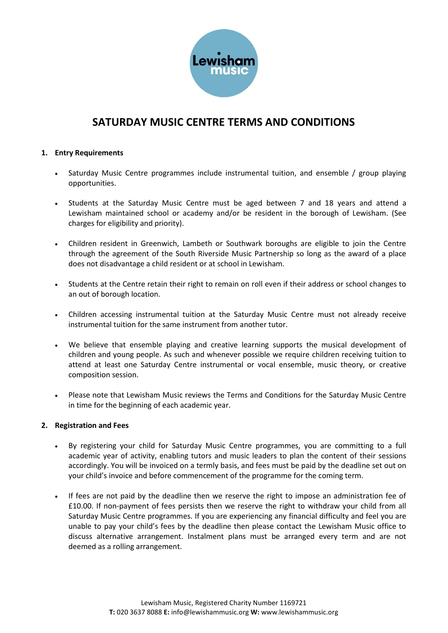

# **SATURDAY MUSIC CENTRE TERMS AND CONDITIONS**

### **1. Entry Requirements**

- Saturday Music Centre programmes include instrumental tuition, and ensemble / group playing opportunities.
- Students at the Saturday Music Centre must be aged between 7 and 18 years and attend a Lewisham maintained school or academy and/or be resident in the borough of Lewisham. (See charges for eligibility and priority).
- Children resident in Greenwich, Lambeth or Southwark boroughs are eligible to join the Centre through the agreement of the South Riverside Music Partnership so long as the award of a place does not disadvantage a child resident or at school in Lewisham.
- Students at the Centre retain their right to remain on roll even if their address or school changes to an out of borough location.
- Children accessing instrumental tuition at the Saturday Music Centre must not already receive instrumental tuition for the same instrument from another tutor.
- We believe that ensemble playing and creative learning supports the musical development of children and young people. As such and whenever possible we require children receiving tuition to attend at least one Saturday Centre instrumental or vocal ensemble, music theory, or creative composition session.
- Please note that Lewisham Music reviews the Terms and Conditions for the Saturday Music Centre in time for the beginning of each academic year.

#### **2. Registration and Fees**

- By registering your child for Saturday Music Centre programmes, you are committing to a full academic year of activity, enabling tutors and music leaders to plan the content of their sessions accordingly. You will be invoiced on a termly basis, and fees must be paid by the deadline set out on your child's invoice and before commencement of the programme for the coming term.
- If fees are not paid by the deadline then we reserve the right to impose an administration fee of £10.00. If non-payment of fees persists then we reserve the right to withdraw your child from all Saturday Music Centre programmes. If you are experiencing any financial difficulty and feel you are unable to pay your child's fees by the deadline then please contact the Lewisham Music office to discuss alternative arrangement. Instalment plans must be arranged every term and are not deemed as a rolling arrangement.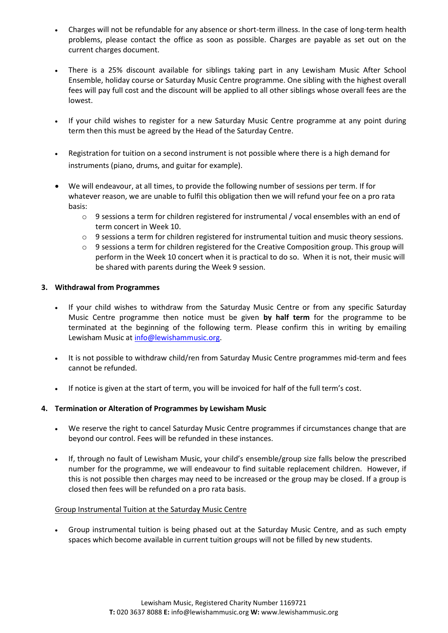- Charges will not be refundable for any absence or short-term illness. In the case of long-term health problems, please contact the office as soon as possible. Charges are payable as set out on the current charges document.
- There is a 25% discount available for siblings taking part in any Lewisham Music After School Ensemble, holiday course or Saturday Music Centre programme. One sibling with the highest overall fees will pay full cost and the discount will be applied to all other siblings whose overall fees are the lowest.
- If your child wishes to register for a new Saturday Music Centre programme at any point during term then this must be agreed by the Head of the Saturday Centre.
- Registration for tuition on a second instrument is not possible where there is a high demand for instruments (piano, drums, and guitar for example).
- We will endeavour, at all times, to provide the following number of sessions per term. If for whatever reason, we are unable to fulfil this obligation then we will refund your fee on a pro rata basis:
	- $\circ$  9 sessions a term for children registered for instrumental / vocal ensembles with an end of term concert in Week 10.
	- o 9 sessions a term for children registered for instrumental tuition and music theory sessions.
	- o 9 sessions a term for children registered for the Creative Composition group. This group will perform in the Week 10 concert when it is practical to do so. When it is not, their music will be shared with parents during the Week 9 session.

# **3. Withdrawal from Programmes**

- If your child wishes to withdraw from the Saturday Music Centre or from any specific Saturday Music Centre programme then notice must be given **by half term** for the programme to be terminated at the beginning of the following term. Please confirm this in writing by emailing Lewisham Music a[t info@lewishammusic.org.](mailto:info@lewishammusic.org)
- It is not possible to withdraw child/ren from Saturday Music Centre programmes mid-term and fees cannot be refunded.
- If notice is given at the start of term, you will be invoiced for half of the full term's cost.

# **4. Termination or Alteration of Programmes by Lewisham Music**

- We reserve the right to cancel Saturday Music Centre programmes if circumstances change that are beyond our control. Fees will be refunded in these instances.
- If, through no fault of Lewisham Music, your child's ensemble/group size falls below the prescribed number for the programme, we will endeavour to find suitable replacement children. However, if this is not possible then charges may need to be increased or the group may be closed. If a group is closed then fees will be refunded on a pro rata basis.

#### Group Instrumental Tuition at the Saturday Music Centre

• Group instrumental tuition is being phased out at the Saturday Music Centre, and as such empty spaces which become available in current tuition groups will not be filled by new students.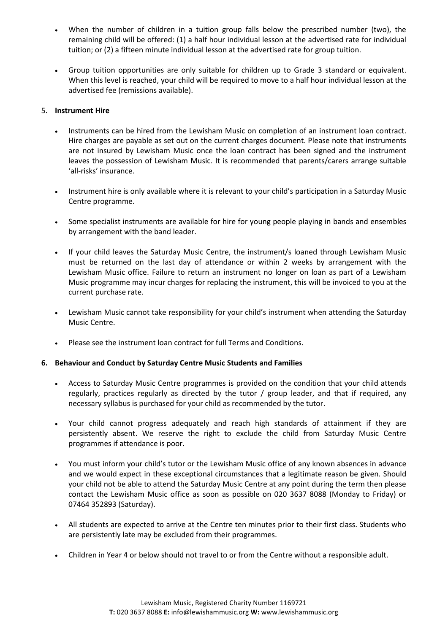- When the number of children in a tuition group falls below the prescribed number (two), the remaining child will be offered: (1) a half hour individual lesson at the advertised rate for individual tuition; or (2) a fifteen minute individual lesson at the advertised rate for group tuition.
- Group tuition opportunities are only suitable for children up to Grade 3 standard or equivalent. When this level is reached, your child will be required to move to a half hour individual lesson at the advertised fee (remissions available).

### 5. **Instrument Hire**

- Instruments can be hired from the Lewisham Music on completion of an instrument loan contract. Hire charges are payable as set out on the current charges document. Please note that instruments are not insured by Lewisham Music once the loan contract has been signed and the instrument leaves the possession of Lewisham Music. It is recommended that parents/carers arrange suitable 'all-risks' insurance.
- Instrument hire is only available where it is relevant to your child's participation in a Saturday Music Centre programme.
- Some specialist instruments are available for hire for young people playing in bands and ensembles by arrangement with the band leader.
- If your child leaves the Saturday Music Centre, the instrument/s loaned through Lewisham Music must be returned on the last day of attendance or within 2 weeks by arrangement with the Lewisham Music office. Failure to return an instrument no longer on loan as part of a Lewisham Music programme may incur charges for replacing the instrument, this will be invoiced to you at the current purchase rate.
- Lewisham Music cannot take responsibility for your child's instrument when attending the Saturday Music Centre.
- Please see the instrument loan contract for full Terms and Conditions.

# **6. Behaviour and Conduct by Saturday Centre Music Students and Families**

- Access to Saturday Music Centre programmes is provided on the condition that your child attends regularly, practices regularly as directed by the tutor / group leader, and that if required, any necessary syllabus is purchased for your child as recommended by the tutor.
- Your child cannot progress adequately and reach high standards of attainment if they are persistently absent. We reserve the right to exclude the child from Saturday Music Centre programmes if attendance is poor.
- You must inform your child's tutor or the Lewisham Music office of any known absences in advance and we would expect in these exceptional circumstances that a legitimate reason be given. Should your child not be able to attend the Saturday Music Centre at any point during the term then please contact the Lewisham Music office as soon as possible on 020 3637 8088 (Monday to Friday) or 07464 352893 (Saturday).
- All students are expected to arrive at the Centre ten minutes prior to their first class. Students who are persistently late may be excluded from their programmes.
- Children in Year 4 or below should not travel to or from the Centre without a responsible adult.